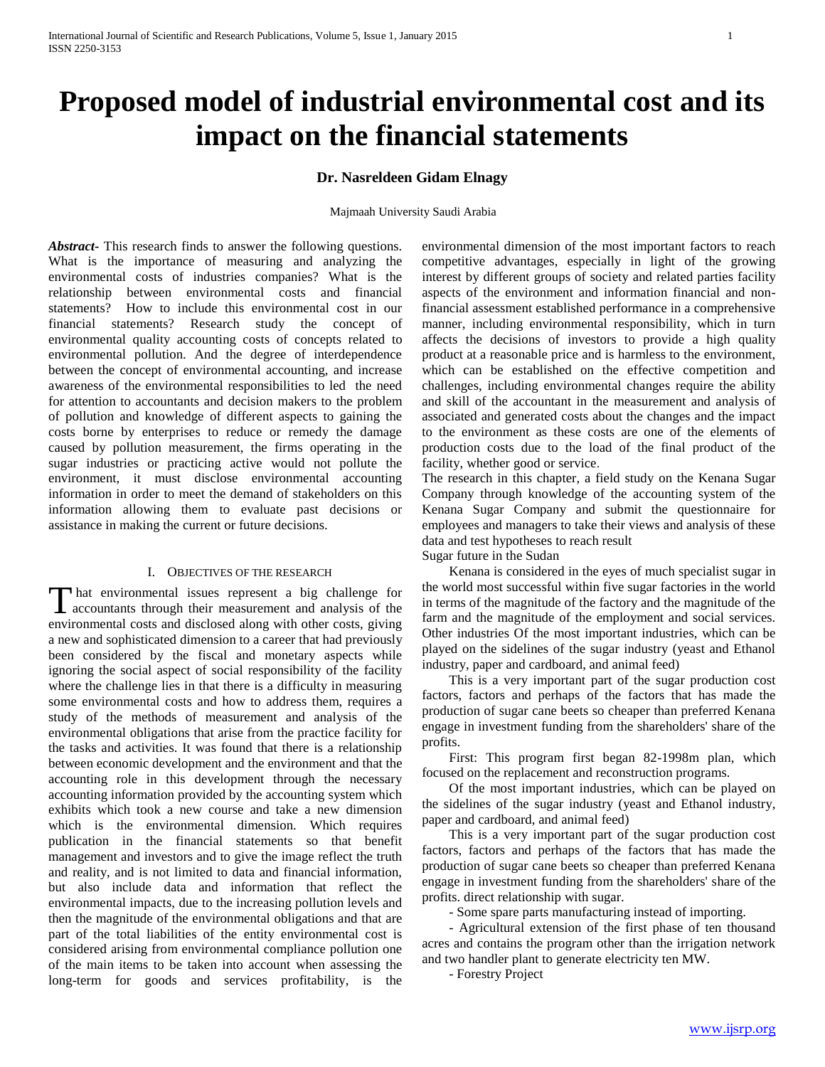# **Proposed model of industrial environmental cost and its impact on the financial statements**

## **Dr. Nasreldeen Gidam Elnagy**

Majmaah University Saudi Arabia

*Abstract***-** This research finds to answer the following questions. What is the importance of measuring and analyzing the environmental costs of industries companies? What is the relationship between environmental costs and financial statements? How to include this environmental cost in our financial statements? Research study the concept of environmental quality accounting costs of concepts related to environmental pollution. And the degree of interdependence between the concept of environmental accounting, and increase awareness of the environmental responsibilities to led the need for attention to accountants and decision makers to the problem of pollution and knowledge of different aspects to gaining the costs borne by enterprises to reduce or remedy the damage caused by pollution measurement, the firms operating in the sugar industries or practicing active would not pollute the environment, it must disclose environmental accounting information in order to meet the demand of stakeholders on this information allowing them to evaluate past decisions or assistance in making the current or future decisions.

#### I. OBJECTIVES OF THE RESEARCH

hat environmental issues represent a big challenge for That environmental issues represent a big challenge for accountants through their measurement and analysis of the environmental costs and disclosed along with other costs, giving a new and sophisticated dimension to a career that had previously been considered by the fiscal and monetary aspects while ignoring the social aspect of social responsibility of the facility where the challenge lies in that there is a difficulty in measuring some environmental costs and how to address them, requires a study of the methods of measurement and analysis of the environmental obligations that arise from the practice facility for the tasks and activities. It was found that there is a relationship between economic development and the environment and that the accounting role in this development through the necessary accounting information provided by the accounting system which exhibits which took a new course and take a new dimension which is the environmental dimension. Which requires publication in the financial statements so that benefit management and investors and to give the image reflect the truth and reality, and is not limited to data and financial information, but also include data and information that reflect the environmental impacts, due to the increasing pollution levels and then the magnitude of the environmental obligations and that are part of the total liabilities of the entity environmental cost is considered arising from environmental compliance pollution one of the main items to be taken into account when assessing the long-term for goods and services profitability, is the

environmental dimension of the most important factors to reach competitive advantages, especially in light of the growing interest by different groups of society and related parties facility aspects of the environment and information financial and nonfinancial assessment established performance in a comprehensive manner, including environmental responsibility, which in turn affects the decisions of investors to provide a high quality product at a reasonable price and is harmless to the environment, which can be established on the effective competition and challenges, including environmental changes require the ability and skill of the accountant in the measurement and analysis of associated and generated costs about the changes and the impact to the environment as these costs are one of the elements of production costs due to the load of the final product of the facility, whether good or service.

The research in this chapter, a field study on the Kenana Sugar Company through knowledge of the accounting system of the Kenana Sugar Company and submit the questionnaire for employees and managers to take their views and analysis of these data and test hypotheses to reach result

Sugar future in the Sudan

 Kenana is considered in the eyes of much specialist sugar in the world most successful within five sugar factories in the world in terms of the magnitude of the factory and the magnitude of the farm and the magnitude of the employment and social services. Other industries Of the most important industries, which can be played on the sidelines of the sugar industry (yeast and Ethanol industry, paper and cardboard, and animal feed)

 This is a very important part of the sugar production cost factors, factors and perhaps of the factors that has made the production of sugar cane beets so cheaper than preferred Kenana engage in investment funding from the shareholders' share of the profits.

 First: This program first began 82-1998m plan, which focused on the replacement and reconstruction programs.

 Of the most important industries, which can be played on the sidelines of the sugar industry (yeast and Ethanol industry, paper and cardboard, and animal feed)

 This is a very important part of the sugar production cost factors, factors and perhaps of the factors that has made the production of sugar cane beets so cheaper than preferred Kenana engage in investment funding from the shareholders' share of the profits. direct relationship with sugar.

- Some spare parts manufacturing instead of importing.

 - Agricultural extension of the first phase of ten thousand acres and contains the program other than the irrigation network and two handler plant to generate electricity ten MW.

- Forestry Project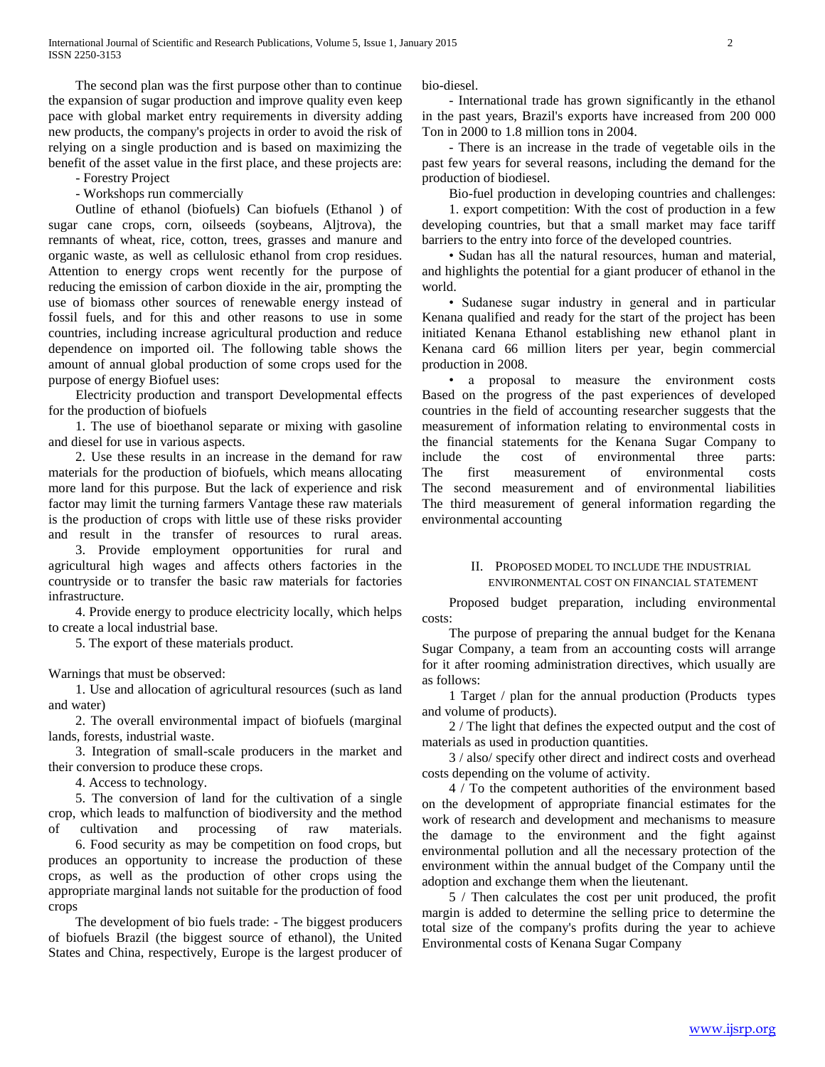The second plan was the first purpose other than to continue the expansion of sugar production and improve quality even keep pace with global market entry requirements in diversity adding new products, the company's projects in order to avoid the risk of relying on a single production and is based on maximizing the benefit of the asset value in the first place, and these projects are:

- Forestry Project

- Workshops run commercially

 Outline of ethanol (biofuels) Can biofuels (Ethanol ) of sugar cane crops, corn, oilseeds (soybeans, Aljtrova), the remnants of wheat, rice, cotton, trees, grasses and manure and organic waste, as well as cellulosic ethanol from crop residues. Attention to energy crops went recently for the purpose of reducing the emission of carbon dioxide in the air, prompting the use of biomass other sources of renewable energy instead of fossil fuels, and for this and other reasons to use in some countries, including increase agricultural production and reduce dependence on imported oil. The following table shows the amount of annual global production of some crops used for the purpose of energy Biofuel uses:

 Electricity production and transport Developmental effects for the production of biofuels

 1. The use of bioethanol separate or mixing with gasoline and diesel for use in various aspects.

 2. Use these results in an increase in the demand for raw materials for the production of biofuels, which means allocating more land for this purpose. But the lack of experience and risk factor may limit the turning farmers Vantage these raw materials is the production of crops with little use of these risks provider and result in the transfer of resources to rural areas.

 3. Provide employment opportunities for rural and agricultural high wages and affects others factories in the countryside or to transfer the basic raw materials for factories infrastructure.

 4. Provide energy to produce electricity locally, which helps to create a local industrial base.

5. The export of these materials product.

Warnings that must be observed:

 1. Use and allocation of agricultural resources (such as land and water)

 2. The overall environmental impact of biofuels (marginal lands, forests, industrial waste.

 3. Integration of small-scale producers in the market and their conversion to produce these crops.

4. Access to technology.

 5. The conversion of land for the cultivation of a single crop, which leads to malfunction of biodiversity and the method of cultivation and processing of raw materials.

 6. Food security as may be competition on food crops, but produces an opportunity to increase the production of these crops, as well as the production of other crops using the appropriate marginal lands not suitable for the production of food crops

 The development of bio fuels trade: - The biggest producers of biofuels Brazil (the biggest source of ethanol), the United States and China, respectively, Europe is the largest producer of bio-diesel.

 - International trade has grown significantly in the ethanol in the past years, Brazil's exports have increased from 200 000 Ton in 2000 to 1.8 million tons in 2004.

 - There is an increase in the trade of vegetable oils in the past few years for several reasons, including the demand for the production of biodiesel.

Bio-fuel production in developing countries and challenges:

 1. export competition: With the cost of production in a few developing countries, but that a small market may face tariff barriers to the entry into force of the developed countries.

 • Sudan has all the natural resources, human and material, and highlights the potential for a giant producer of ethanol in the world.

 • Sudanese sugar industry in general and in particular Kenana qualified and ready for the start of the project has been initiated Kenana Ethanol establishing new ethanol plant in Kenana card 66 million liters per year, begin commercial production in 2008.

 • a proposal to measure the environment costs Based on the progress of the past experiences of developed countries in the field of accounting researcher suggests that the measurement of information relating to environmental costs in the financial statements for the Kenana Sugar Company to include the cost of environmental three parts: The first measurement of environmental costs The second measurement and of environmental liabilities The third measurement of general information regarding the environmental accounting

#### II. PROPOSED MODEL TO INCLUDE THE INDUSTRIAL ENVIRONMENTAL COST ON FINANCIAL STATEMENT

 Proposed budget preparation, including environmental costs:

 The purpose of preparing the annual budget for the Kenana Sugar Company, a team from an accounting costs will arrange for it after rooming administration directives, which usually are as follows:

 1 Target / plan for the annual production (Products types and volume of products).

 2 / The light that defines the expected output and the cost of materials as used in production quantities.

 3 / also/ specify other direct and indirect costs and overhead costs depending on the volume of activity.

 4 / To the competent authorities of the environment based on the development of appropriate financial estimates for the work of research and development and mechanisms to measure the damage to the environment and the fight against environmental pollution and all the necessary protection of the environment within the annual budget of the Company until the adoption and exchange them when the lieutenant.

 5 / Then calculates the cost per unit produced, the profit margin is added to determine the selling price to determine the total size of the company's profits during the year to achieve Environmental costs of Kenana Sugar Company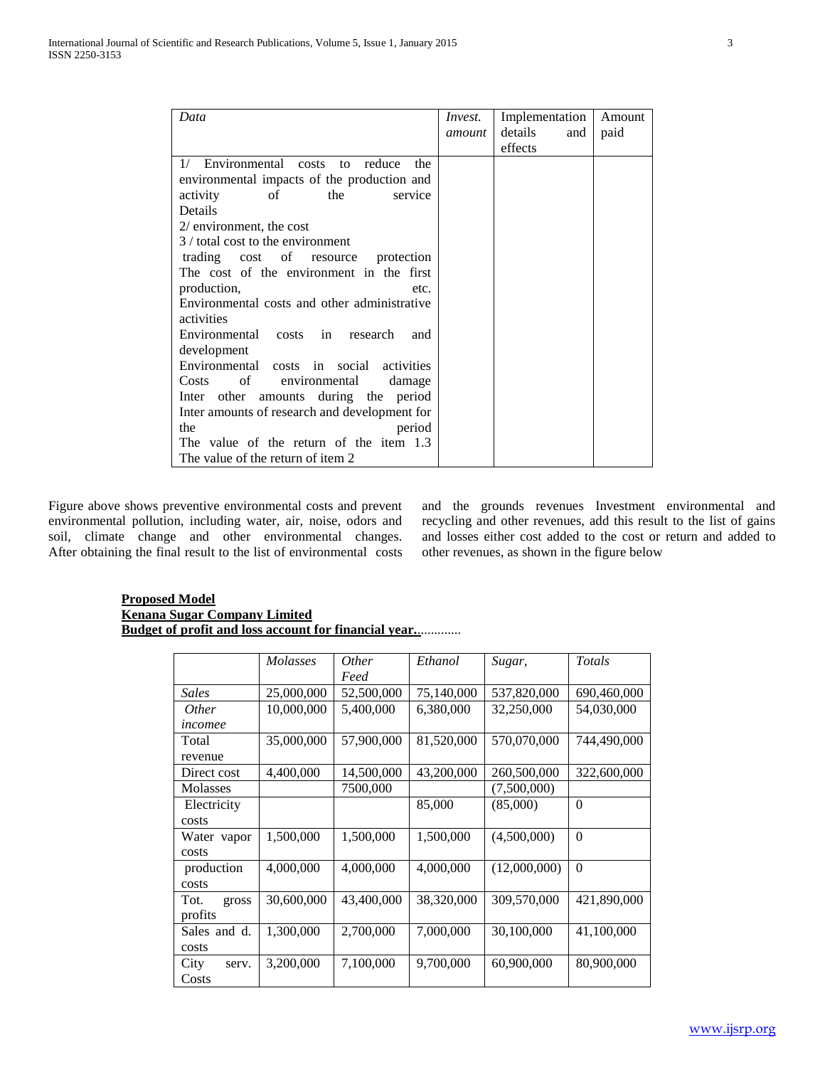| Data                                          | Invest. | Implementation | Amount |
|-----------------------------------------------|---------|----------------|--------|
|                                               | amount  | details<br>and | paid   |
|                                               |         | effects        |        |
| Environmental costs to<br>reduce<br>1/<br>the |         |                |        |
| environmental impacts of the production and   |         |                |        |
| activity<br>the<br>service<br>of              |         |                |        |
| Details                                       |         |                |        |
| $2/$ environment, the cost                    |         |                |        |
| 3 / total cost to the environment             |         |                |        |
| trading cost of resource<br>protection        |         |                |        |
| The cost of the environment in the first      |         |                |        |
| production,<br>etc.                           |         |                |        |
| Environmental costs and other administrative  |         |                |        |
| activities                                    |         |                |        |
| Environmental<br>costs in research<br>and     |         |                |        |
| development                                   |         |                |        |
| Environmental costs in social activities      |         |                |        |
| Costs<br>of<br>environmental<br>damage        |         |                |        |
| amounts during the period<br>Inter other      |         |                |        |
| Inter amounts of research and development for |         |                |        |
| the<br>period                                 |         |                |        |
| The value of the return of the item 1.3       |         |                |        |
| The value of the return of item 2             |         |                |        |

Figure above shows preventive environmental costs and prevent environmental pollution, including water, air, noise, odors and soil, climate change and other environmental changes. After obtaining the final result to the list of environmental costs and the grounds revenues Investment environmental and recycling and other revenues, add this result to the list of gains and losses either cost added to the cost or return and added to other revenues, as shown in the figure below

## **Proposed Model Kenana Sugar Company Limited Budget of profit and loss account for financial year.**.............

|               | <b>Molasses</b> | <i>Other</i><br>Feed | Ethanol    | Sugar,       | <b>Totals</b> |
|---------------|-----------------|----------------------|------------|--------------|---------------|
| Sales         | 25,000,000      | 52,500,000           | 75,140,000 | 537,820,000  | 690,460,000   |
| <i>Other</i>  | 10,000,000      | 5,400,000            | 6,380,000  | 32,250,000   | 54,030,000    |
| incomee       |                 |                      |            |              |               |
| Total         | 35,000,000      | 57,900,000           | 81,520,000 | 570,070,000  | 744,490,000   |
| revenue       |                 |                      |            |              |               |
| Direct cost   | 4,400,000       | 14,500,000           | 43,200,000 | 260,500,000  | 322,600,000   |
| Molasses      |                 | 7500,000             |            | (7,500,000)  |               |
| Electricity   |                 |                      | 85,000     | (85,000)     | $\theta$      |
| costs         |                 |                      |            |              |               |
| Water vapor   | 1,500,000       | 1,500,000            | 1,500,000  | (4,500,000)  | $\theta$      |
| costs         |                 |                      |            |              |               |
| production    | 4,000,000       | 4,000,000            | 4,000,000  | (12,000,000) | $\theta$      |
| costs         |                 |                      |            |              |               |
| Tot.<br>gross | 30,600,000      | 43,400,000           | 38,320,000 | 309,570,000  | 421,890,000   |
| profits       |                 |                      |            |              |               |
| Sales and d.  | 1,300,000       | 2,700,000            | 7,000,000  | 30,100,000   | 41,100,000    |
| costs         |                 |                      |            |              |               |
| City<br>serv. | 3,200,000       | 7,100,000            | 9,700,000  | 60,900,000   | 80,900,000    |
| Costs         |                 |                      |            |              |               |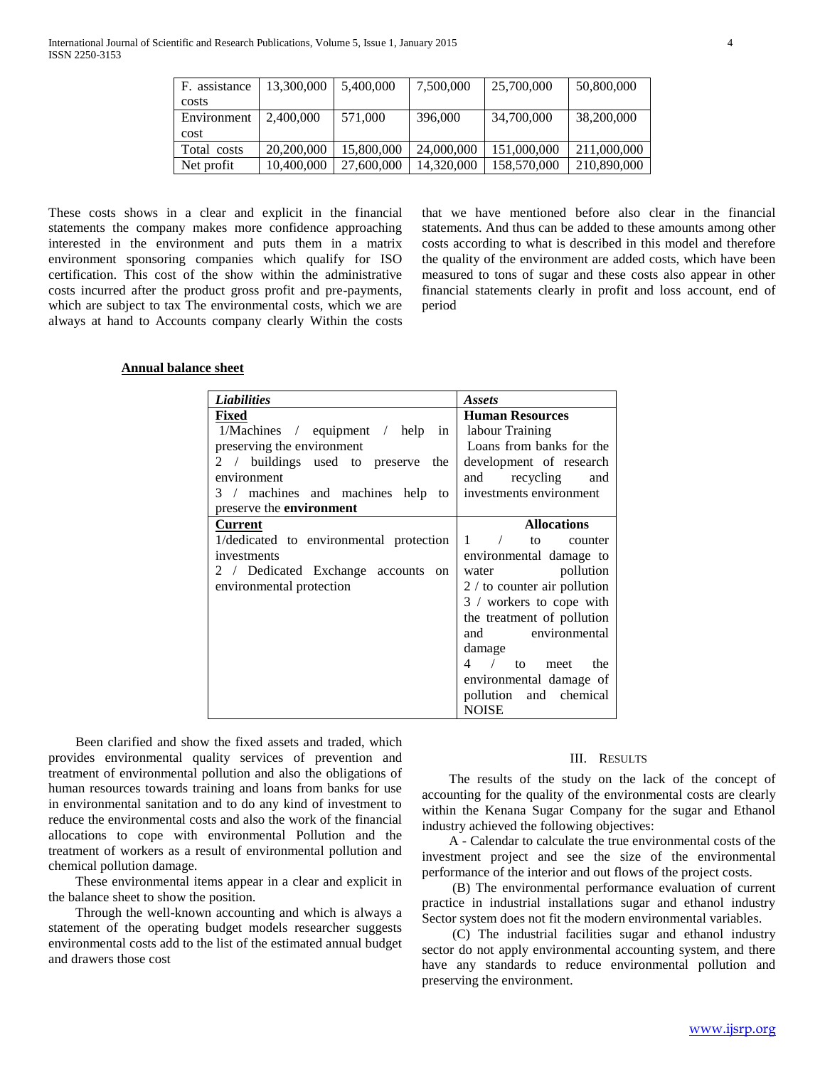| F. assistance | 13,300,000 | 5,400,000  | 7,500,000  | 25,700,000  | 50,800,000  |
|---------------|------------|------------|------------|-------------|-------------|
| costs         |            |            |            |             |             |
| Environment   | 2,400,000  | 571,000    | 396,000    | 34,700,000  | 38,200,000  |
| <b>cost</b>   |            |            |            |             |             |
| Total costs   | 20,200,000 | 15,800,000 | 24,000,000 | 151,000,000 | 211,000,000 |
| Net profit    | 10,400,000 | 27,600,000 | 14,320,000 | 158,570,000 | 210,890,000 |

These costs shows in a clear and explicit in the financial statements the company makes more confidence approaching interested in the environment and puts them in a matrix environment sponsoring companies which qualify for ISO certification. This cost of the show within the administrative costs incurred after the product gross profit and pre-payments, which are subject to tax The environmental costs, which we are always at hand to Accounts company clearly Within the costs that we have mentioned before also clear in the financial statements. And thus can be added to these amounts among other costs according to what is described in this model and therefore the quality of the environment are added costs, which have been measured to tons of sugar and these costs also appear in other financial statements clearly in profit and loss account, end of period

#### **Annual balance sheet**

| <b>Liabilities</b>                      | <b>Assets</b>                  |  |
|-----------------------------------------|--------------------------------|--|
| Fixed                                   | <b>Human Resources</b>         |  |
| 1/Machines / equipment / help in        | labour Training                |  |
| preserving the environment              | Loans from banks for the       |  |
| 2 / buildings used to preserve<br>the   | development of research        |  |
| environment                             | recycling<br>and<br>and        |  |
| 3 / machines and machines help to       | investments environment        |  |
| preserve the <b>environment</b>         |                                |  |
| Current                                 | <b>Allocations</b>             |  |
| 1/dedicated to environmental protection | 1 / to<br>counter              |  |
| investments                             | environmental damage to        |  |
| 2 / Dedicated Exchange accounts on      | pollution<br>water             |  |
| environmental protection                | $2 /$ to counter air pollution |  |
|                                         | 3 / workers to cope with       |  |
|                                         | the treatment of pollution     |  |
|                                         | and environmental              |  |
|                                         | damage                         |  |
|                                         | 4 / to meet<br>the             |  |
|                                         | environmental damage of        |  |
|                                         | pollution and chemical         |  |
|                                         | <b>NOISE</b>                   |  |

 Been clarified and show the fixed assets and traded, which provides environmental quality services of prevention and treatment of environmental pollution and also the obligations of human resources towards training and loans from banks for use in environmental sanitation and to do any kind of investment to reduce the environmental costs and also the work of the financial allocations to cope with environmental Pollution and the treatment of workers as a result of environmental pollution and chemical pollution damage.

 These environmental items appear in a clear and explicit in the balance sheet to show the position.

 Through the well-known accounting and which is always a statement of the operating budget models researcher suggests environmental costs add to the list of the estimated annual budget and drawers those cost

## III. RESULTS

 The results of the study on the lack of the concept of accounting for the quality of the environmental costs are clearly within the Kenana Sugar Company for the sugar and Ethanol industry achieved the following objectives:

 A - Calendar to calculate the true environmental costs of the investment project and see the size of the environmental performance of the interior and out flows of the project costs.

 (B) The environmental performance evaluation of current practice in industrial installations sugar and ethanol industry Sector system does not fit the modern environmental variables.

 (C) The industrial facilities sugar and ethanol industry sector do not apply environmental accounting system, and there have any standards to reduce environmental pollution and preserving the environment.